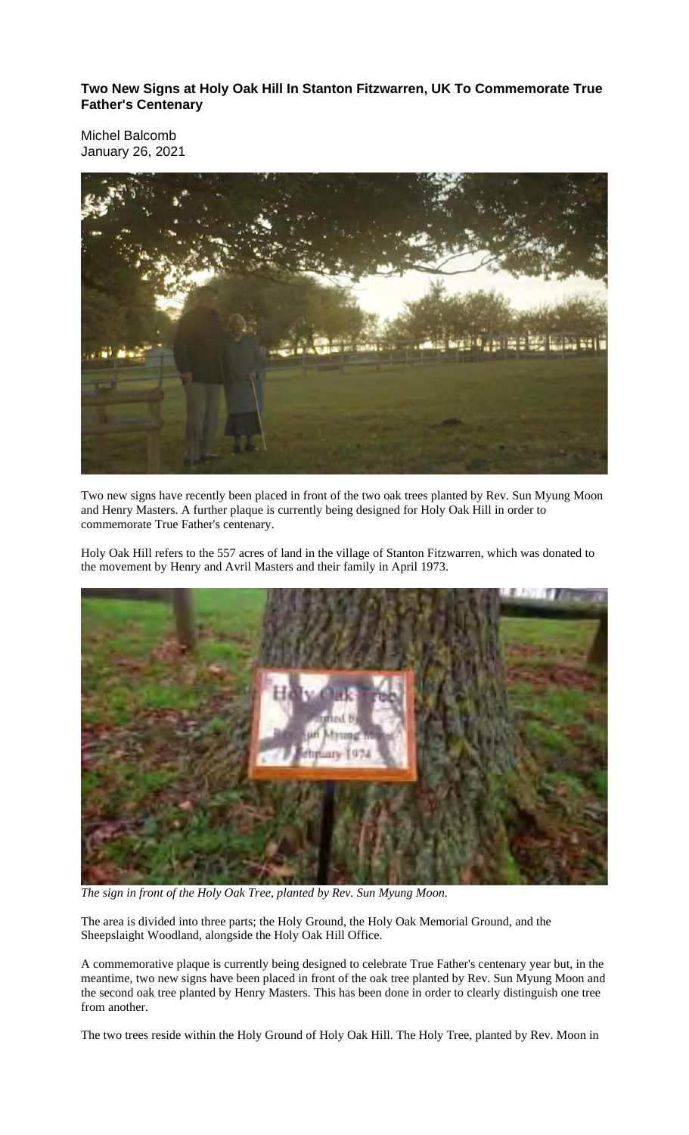**Two New Signs at Holy Oak Hill In Stanton Fitzwarren, UK To Commemorate True Father's Centenary**

Michel Balcomb January 26, 2021



Two new signs have recently been placed in front of the two oak trees planted by Rev. Sun Myung Moon and Henry Masters. A further plaque is currently being designed for Holy Oak Hill in order to commemorate True Father's centenary.

Holy Oak Hill refers to the 557 acres of land in the village of Stanton Fitzwarren, which was donated to the movement by Henry and Avril Masters and their family in April 1973.



*The sign in front of the Holy Oak Tree, planted by Rev. Sun Myung Moon.*

The area is divided into three parts; the Holy Ground, the Holy Oak Memorial Ground, and the Sheepslaight Woodland, alongside the Holy Oak Hill Office.

A commemorative plaque is currently being designed to celebrate True Father's centenary year but, in the meantime, two new signs have been placed in front of the oak tree planted by Rev. Sun Myung Moon and the second oak tree planted by Henry Masters. This has been done in order to clearly distinguish one tree from another.

The two trees reside within the Holy Ground of Holy Oak Hill. The Holy Tree, planted by Rev. Moon in